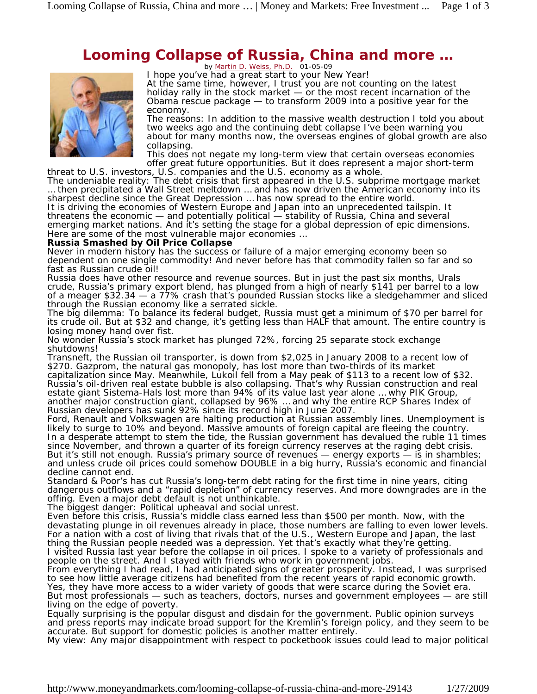## **Looming Collapse of Russia, China and more …**



by <u>Martin D. Weiss, Ph.D.</u> 01-05-09<br>I hope you've had a great start to your New Year! At the same time, however, I trust you are not counting on the latest holiday rally in the stock market — or the most recent incarnation of the Obama rescue package — to transform 2009 into a positive year for the economy.

The reasons: In addition to the massive wealth destruction I told you about two weeks ago and the continuing debt collapse I've been warning you about for many months now, the overseas engines of global growth are also collapsing.

This does not negate my long-term view that certain overseas economies offer great future opportunities. But it does represent a major short-term threat to U.S. investors, U.S. companies and the U.S. economy as a whole.

The undeniable reality: The debt crisis that first appeared in the U.S. subprime mortgage market … then precipitated a Wall Street meltdown … and has now driven the American economy into its sharpest decline since the Great Depression … has now spread to the entire world.

It is driving the economies of Western Europe and Japan into an unprecedented tailspin. It threatens the economic — and potentially political — stability of Russia, China and several emerging market nations. And it's setting the stage for a global depression of epic dimensions. Here are some of the most vulnerable major economies ...

## **Russia Smashed by Oil Price Collapse**

Never in modern history has the success or failure of a major emerging economy been so dependent on one single commodity! And never before has that commodity fallen so far and so fast as Russian crude oil!

Russia does have other resource and revenue sources. But in just the past six months, Urals crude, Russia's primary export blend, has plunged from a high of nearly \$141 per barrel to a low of a meager \$32.34 — a 77% crash that's pounded Russian stocks like a sledgehammer and sliced through the Russian economy like a serrated sickle.

The big dilemma: To balance its federal budget, Russia must get a *minimum* of \$70 per barrel for its crude oil. But at \$32 and change, it's getting less than HALF that amount. The entire country is losing money hand over fist.

No wonder Russia's stock market has plunged 72%, forcing 25 separate stock exchange shutdowns!

Transneft, the Russian oil transporter, is down from \$2,025 in January 2008 to a recent low of \$270. Gazprom, the natural gas monopoly, has lost more than two-thirds of its market capitalization since May. Meanwhile, Lukoil fell from a May peak of \$113 to a recent low of \$32. Russia's oil-driven real estate bubble is also collapsing. That's why Russian construction and real estate giant Sistema-Hals lost more than 94% of its value last year alone … why PIK Group, another major construction giant, collapsed by 96% … and why the entire RCP Shares Index of Russian developers has sunk 92% since its record high in June 2007.

Ford, Renault and Volkswagen are halting production at Russian assembly lines. Unemployment is likely to surge to 10% and beyond. Massive amounts of foreign capital are fleeing the country. In a desperate attempt to stem the tide, the Russian government has devalued the ruble 11 times since November, and thrown a quarter of its foreign currency reserves at the raging debt crisis. But it's still not enough. Russia's primary source of revenues — energy exports  $-$  is in shambles; and unless crude oil prices could somehow DOUBLE in a big hurry, Russia's economic and financial decline cannot end.

Standard & Poor's has cut Russia's long-term debt rating for the first time in nine years, citing dangerous outflows and a "rapid depletion" of currency reserves. And more downgrades are in the offing. Even a major debt default is not unthinkable.

The biggest danger: Political upheaval and social unrest.

Even before this crisis, Russia's middle class earned less than \$500 per month. Now, with the devastating plunge in oil revenues already in place, those numbers are falling to even lower levels. For a nation with a cost of living that rivals that of the U.S., Western Europe and Japan, the last thing the Russian people needed was a depression. Yet that's exactly what they're getting. I visited Russia last year before the collapse in oil prices. I spoke to a variety of professionals and people on the street. And I stayed with friends who work in government jobs.

From everything I had read, I had anticipated signs of greater prosperity. Instead, I was surprised to see how little average citizens had benefited from the recent years of rapid economic growth. Yes, they have more access to a wider variety of goods that were scarce during the Soviet era.

But most professionals — such as teachers, doctors, nurses and government employees — are still living on the edge of poverty.

Equally surprising is the popular disgust and disdain for the government. Public opinion surveys and press reports may indicate broad support for the Kremlin's foreign policy, and they seem to be accurate. But support for domestic policies is another matter entirely.

My view: Any major disappointment with respect to pocketbook issues could lead to major political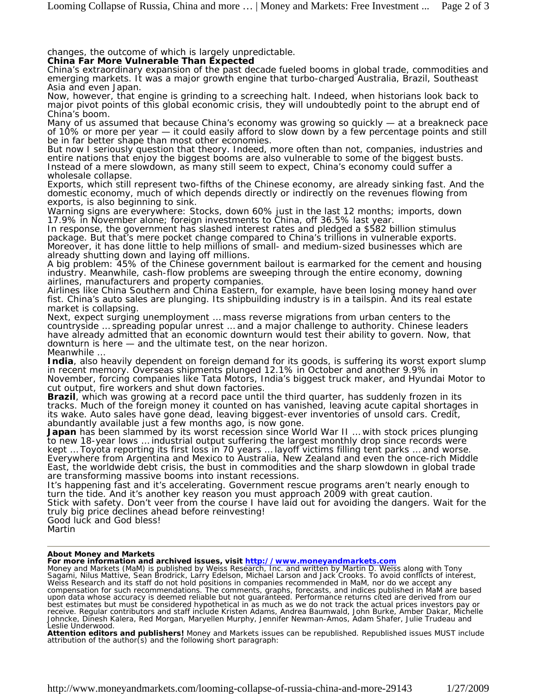changes, the outcome of which is largely unpredictable.

## **China Far More Vulnerable Than Expected**

China's extraordinary expansion of the past decade fueled booms in global trade, commodities and emerging markets. It was a major growth engine that turbo-charged Australia, Brazil, Southeast Asia and even Japan.

Now, however, that engine is grinding to a screeching halt. Indeed, when historians look back to major pivot points of this global economic crisis, they will undoubtedly point to the abrupt end of China's boom.

Many of us assumed that because China's economy was growing so quickly — at a breakneck pace of 10% or more per year — it could easily afford to slow down by a few percentage points and still be in far better shape than most other economies.

But now I seriously question that theory. Indeed, more often than not, companies, industries and entire nations that enjoy the biggest booms are also vulnerable to some of the biggest busts. Instead of a mere slowdown, as many still seem to expect, China's economy could suffer a wholesale collapse.

Exports, which still represent two-fifths of the Chinese economy, are already sinking fast. And the domestic economy, much of which depends directly or indirectly on the revenues flowing from exports, is also beginning to sink.

Warning signs are everywhere: Stocks, down 60% just in the last 12 months; imports, down 17.9% in November alone; foreign investments to China, off 36.5% last year.

In response, the government has slashed interest rates and pledged a \$582 billion stimulus package. But that's mere pocket change compared to China's trillions in vulnerable exports. Moreover, it has done little to help millions of small- and medium-sized businesses which are already shutting down and laying off millions.

A big problem: 45% of the Chinese government bailout is earmarked for the cement and housing industry. Meanwhile, cash-flow problems are sweeping through the entire economy, downing airlines, manufacturers and property companies.

Airlines like China Southern and China Eastern, for example, have been losing money hand over fist. China's auto sales are plunging. Its shipbuilding industry is in a tailspin. And its real estate market is collapsing.

Next, expect surging unemployment … mass reverse migrations from urban centers to the countryside … spreading popular unrest … and a major challenge to authority. Chinese leaders have already admitted that an economic downturn would test their ability to govern. Now, that downturn is here — and the ultimate test, on the near horizon. Meanwhile …

**India**, also heavily dependent on foreign demand for its goods, is suffering its worst export slump in recent memory. Overseas shipments plunged 12.1% in October and *another* 9.9% in November, forcing companies like Tata Motors, India's biggest truck maker, and Hyundai Motor to cut output, fire workers and shut down factories.

**Brazil**, which was growing at a record pace until the third quarter, has suddenly frozen in its tracks. Much of the foreign money it counted on has vanished, leaving acute capital shortages in its wake. Auto sales have gone dead, leaving biggest-ever inventories of unsold cars. Credit, abundantly available just a few months ago, is now gone.

**Japan** has been slammed by its worst recession since World War II … with stock prices plunging to new 18-year lows … industrial output suffering the largest monthly drop since records were kept … Toyota reporting its first loss in 70 years … layoff victims filling tent parks … and worse. Everywhere from Argentina and Mexico to Australia, New Zealand and even the once-rich Middle East, the worldwide debt crisis, the bust in commodities and the sharp slowdown in global trade are transforming massive booms into instant recessions.

It's happening fast and it's accelerating. Government rescue programs aren't nearly enough to turn the tide. And it's another key reason you must approach 2009 with great caution. Stick with safety. Don't veer from the course I have laid out for avoiding the dangers. Wait for the truly big price declines ahead before reinvesting! Good luck and God bless!

Martin

## **About** *Money and Markets*

**For more information and archived issues, visit <u>http://www.moneyandmarkets.com</u><br>***Money and Markets (MaM)* **is published by Weiss Research, Inc. and written by Martin D. Weiss along with Tony** Sagami, Nilus Mattive, Sean Brodrick, Larry Edelson, Michael Larson and Jack Crooks. To avoid conflicts of interest, Weiss Research and its staff do not hold positions in companies recommended in *MaM*, nor do we accept any compensation for such recommendations. The comments, graphs, forecasts, and indices published in *MaM* are based upon data whose accuracy is deemed reliable but not guaranteed. Performance returns cited are derived from our best estimates but must be considered hypothetical in as much as we do not track the actual prices investors pay or receive. Regular contributors and staff include Kristen Adams, Andrea Baumwald, John Burke, Amber Dakar, Michelle Johncke, Dinesh Kalera, Red Morgan, Maryellen Murphy, Jennifer Newman-Amos, Adam Shafer, Julie Trudeau and Leslie Underwood.

**Attention editors and publishers!** *Money and Markets* issues can be republished. Republished issues MUST include attribution of the author(s) and the following short paragraph: